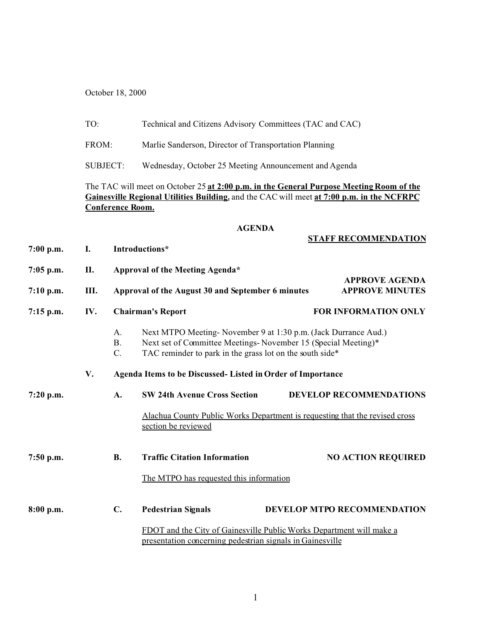October 18, 2000

|             | TO:<br>FROM:<br><b>SUBJECT:</b>                                                                                                                                                                                 |                                                                                                                                         | Technical and Citizens Advisory Committees (TAC and CAC)                                                                                                                                    |                                                                             |  |  |  |  |  |
|-------------|-----------------------------------------------------------------------------------------------------------------------------------------------------------------------------------------------------------------|-----------------------------------------------------------------------------------------------------------------------------------------|---------------------------------------------------------------------------------------------------------------------------------------------------------------------------------------------|-----------------------------------------------------------------------------|--|--|--|--|--|
|             |                                                                                                                                                                                                                 |                                                                                                                                         | Marlie Sanderson, Director of Transportation Planning                                                                                                                                       |                                                                             |  |  |  |  |  |
|             |                                                                                                                                                                                                                 |                                                                                                                                         | Wednesday, October 25 Meeting Announcement and Agenda                                                                                                                                       |                                                                             |  |  |  |  |  |
|             | The TAC will meet on October 25 at 2:00 p.m. in the General Purpose Meeting Room of the<br>Gainesville Regional Utilities Building, and the CAC will meet at 7:00 p.m. in the NCFRPC<br><b>Conference Room.</b> |                                                                                                                                         |                                                                                                                                                                                             |                                                                             |  |  |  |  |  |
|             |                                                                                                                                                                                                                 |                                                                                                                                         | <b>AGENDA</b>                                                                                                                                                                               |                                                                             |  |  |  |  |  |
| $7:00$ p.m. | I.                                                                                                                                                                                                              |                                                                                                                                         | <b>STAFF RECOMMENDATION</b><br>Introductions*                                                                                                                                               |                                                                             |  |  |  |  |  |
| 7:05 p.m.   | II.                                                                                                                                                                                                             | Approval of the Meeting Agenda*<br><b>APPROVE AGENDA</b><br>Approval of the August 30 and September 6 minutes<br><b>APPROVE MINUTES</b> |                                                                                                                                                                                             |                                                                             |  |  |  |  |  |
| 7:10 p.m.   | III.                                                                                                                                                                                                            |                                                                                                                                         |                                                                                                                                                                                             |                                                                             |  |  |  |  |  |
| 7:15 p.m.   | IV.                                                                                                                                                                                                             | <b>Chairman's Report</b>                                                                                                                |                                                                                                                                                                                             | <b>FOR INFORMATION ONLY</b>                                                 |  |  |  |  |  |
|             |                                                                                                                                                                                                                 | A.<br><b>B.</b><br>C.                                                                                                                   | Next MTPO Meeting-November 9 at 1:30 p.m. (Jack Durrance Aud.)<br>Next set of Committee Meetings-November 15 (Special Meeting)*<br>TAC reminder to park in the grass lot on the south side* |                                                                             |  |  |  |  |  |
|             | V.                                                                                                                                                                                                              | Agenda Items to be Discussed- Listed in Order of Importance                                                                             |                                                                                                                                                                                             |                                                                             |  |  |  |  |  |
| $7:20$ p.m. |                                                                                                                                                                                                                 | A.                                                                                                                                      | <b>SW 24th Avenue Cross Section</b>                                                                                                                                                         | <b>DEVELOP RECOMMENDATIONS</b>                                              |  |  |  |  |  |
|             |                                                                                                                                                                                                                 |                                                                                                                                         | section be reviewed                                                                                                                                                                         | Alachua County Public Works Department is requesting that the revised cross |  |  |  |  |  |
| 7:50 p.m.   |                                                                                                                                                                                                                 | <b>B.</b>                                                                                                                               | <b>Traffic Citation Information</b>                                                                                                                                                         | <b>NO ACTION REQUIRED</b>                                                   |  |  |  |  |  |
|             |                                                                                                                                                                                                                 |                                                                                                                                         | The MTPO has requested this information                                                                                                                                                     |                                                                             |  |  |  |  |  |
| $8:00$ p.m. |                                                                                                                                                                                                                 | C.                                                                                                                                      | <b>Pedestrian Signals</b>                                                                                                                                                                   | <b>DEVELOP MTPO RECOMMENDATION</b>                                          |  |  |  |  |  |
|             |                                                                                                                                                                                                                 | FDOT and the City of Gainesville Public Works Department will make a<br>presentation concerning pedestrian signals in Gainesville       |                                                                                                                                                                                             |                                                                             |  |  |  |  |  |